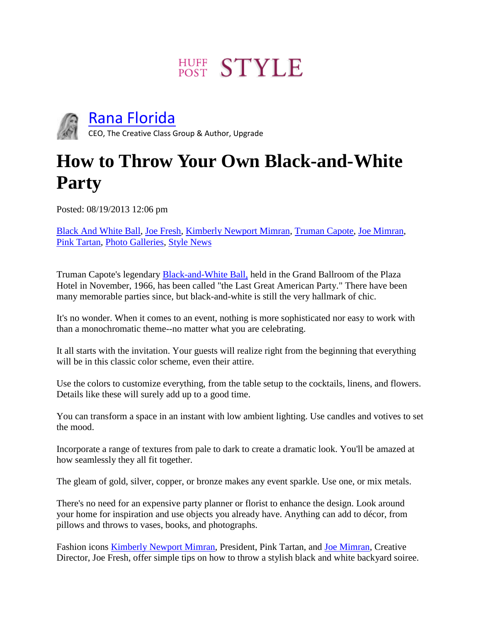# **HUFF STYLE**



[Rana Florida](http://www.huffingtonpost.com/rana-florida)

CEO, The Creative Class Group & Author, Upgrade

#### **How to Throw Your Own Black-and-White Party**

Posted: 08/19/2013 12:06 pm

[Black And White Ball,](http://www.huffingtonpost.com/news/black-and-white-ball/) [Joe Fresh,](http://www.huffingtonpost.com/news/joe-fresh/) [Kimberly Newport Mimran,](http://www.huffingtonpost.com/news/kimberly-newport-mimran/) [Truman Capote,](http://www.huffingtonpost.com/news/truman-capote/) [Joe Mimran,](http://www.huffingtonpost.com/news/joe-mimran/) [Pink Tartan,](http://www.huffingtonpost.com/news/pink-tartan/) [Photo Galleries,](http://www.huffingtonpost.com/news/slidepollajax/) [Style News](http://www.huffingtonpost.com/style)

Truman Capote's legendary [Black-and-White Ball,](http://www.randomhouse.com/boldtype/1297/plimpton/excerpt.html) held in the Grand Ballroom of the Plaza Hotel in November, 1966, has been called "the Last Great American Party." There have been many memorable parties since, but black-and-white is still the very hallmark of chic.

It's no wonder. When it comes to an event, nothing is more sophisticated nor easy to work with than a monochromatic theme--no matter what you are celebrating.

It all starts with the invitation. Your guests will realize right from the beginning that everything will be in this classic color scheme, even their attire.

Use the colors to customize everything, from the table setup to the cocktails, linens, and flowers. Details like these will surely add up to a good time.

You can transform a space in an instant with low ambient lighting. Use candles and votives to set the mood.

Incorporate a range of textures from pale to dark to create a dramatic look. You'll be amazed at how seamlessly they all fit together.

The gleam of gold, silver, copper, or bronze makes any event sparkle. Use one, or mix metals.

There's no need for an expensive party planner or florist to enhance the design. Look around your home for inspiration and use objects you already have. Anything can add to décor, from pillows and throws to vases, books, and photographs.

Fashion icons **Kimberly Newport Mimran, President, Pink Tartan, and [Joe Mimran,](https://twitter.com/JoeFresh) Creative** Director, Joe Fresh, offer simple tips on how to throw a stylish black and white backyard soiree.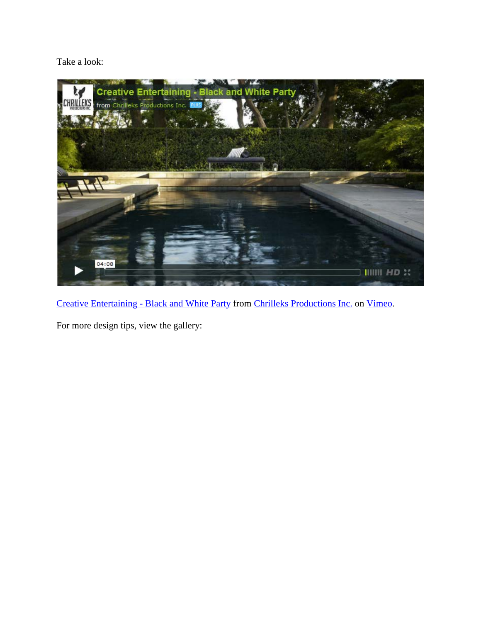Take a look:



[Creative Entertaining -](http://vimeo.com/72934356) Black and White Party from [Chrilleks Productions Inc.](http://vimeo.com/chrilleks) on [Vimeo.](https://vimeo.com/)

For more design tips, view the gallery: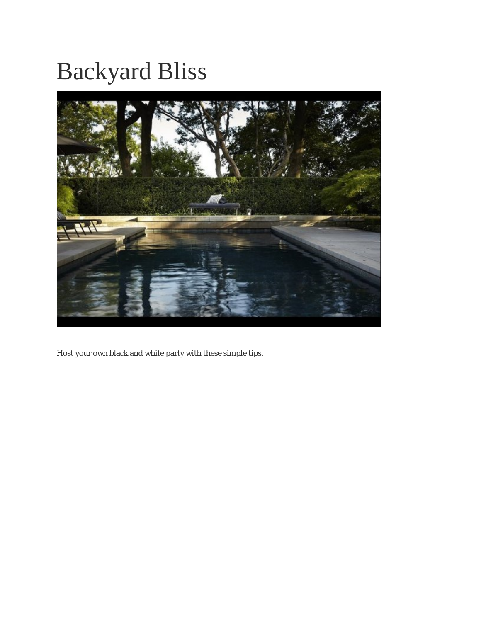# Backyard Bliss



Host your own black and white party with these simple tips.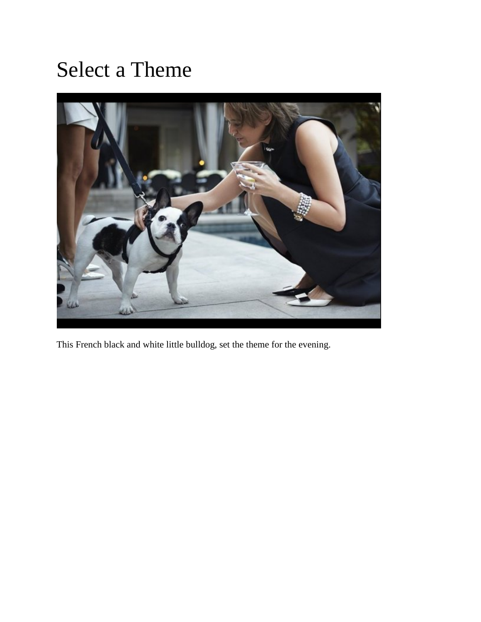#### Select a Theme



This French black and white little bulldog, set the theme for the evening.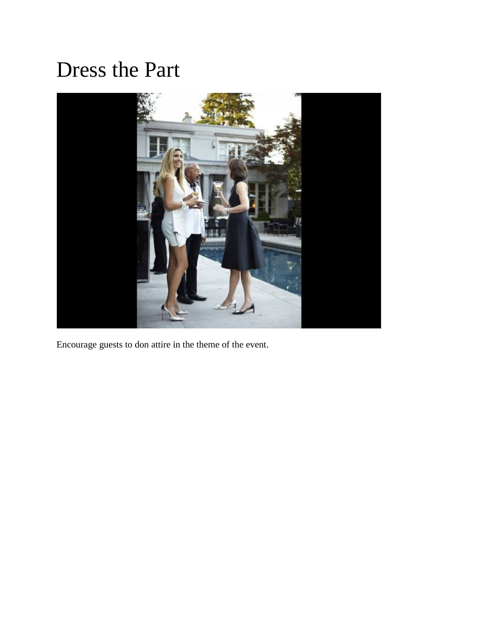#### Dress the Part



Encourage guests to don attire in the theme of the event.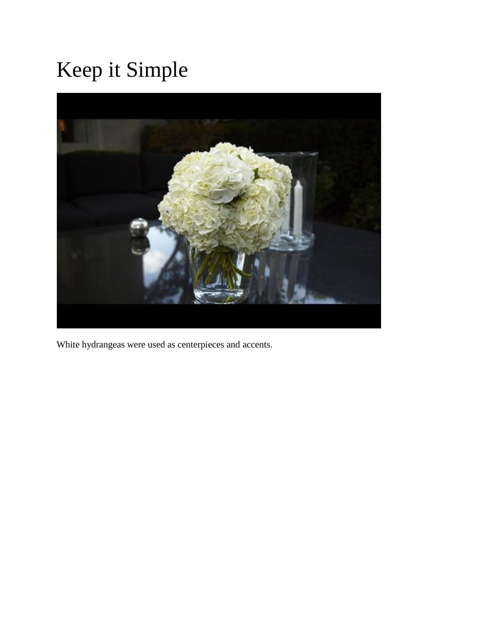# Keep it Simple



White hydrangeas were used as centerpieces and accents.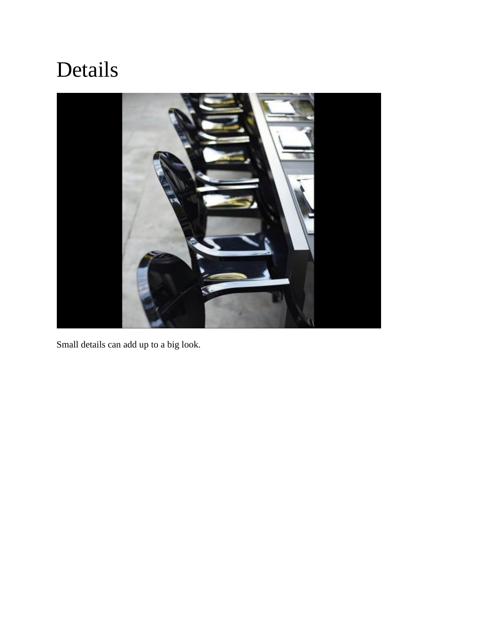### Details



Small details can add up to a big look.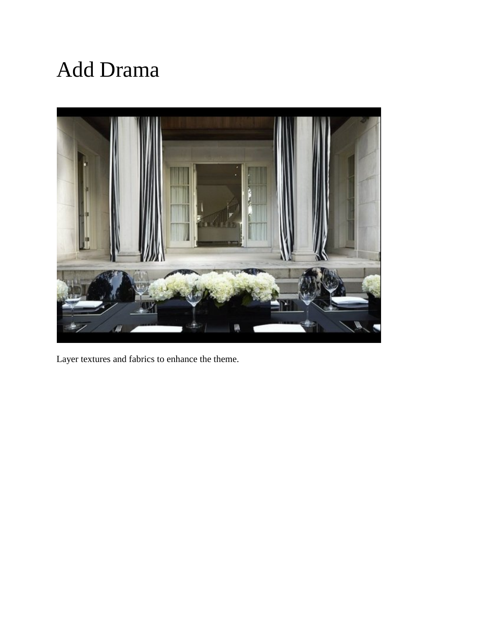### Add Drama



Layer textures and fabrics to enhance the theme.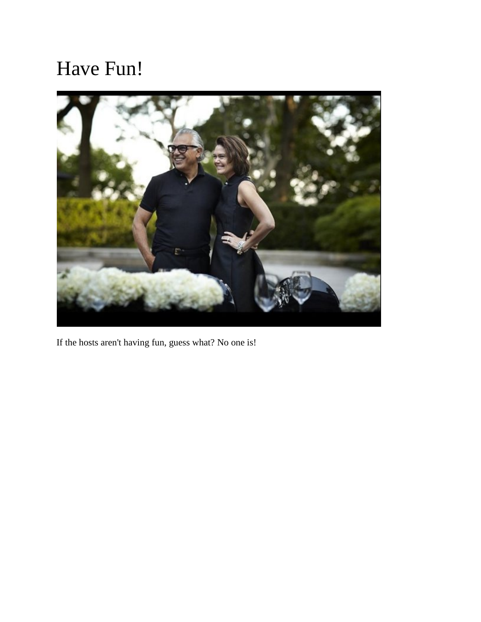#### Have Fun!



If the hosts aren't having fun, guess what? No one is!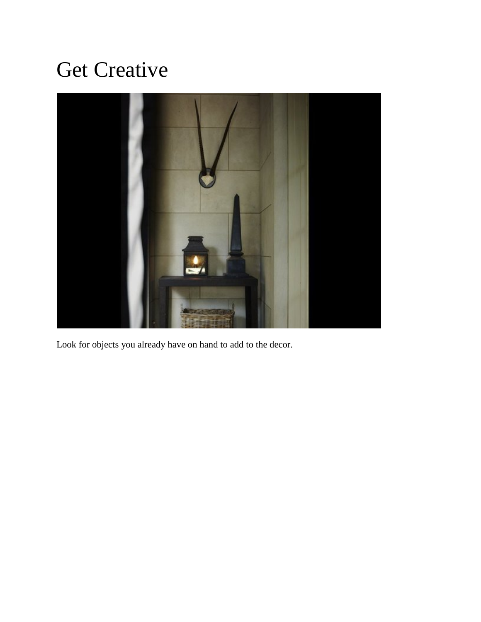### Get Creative



Look for objects you already have on hand to add to the decor.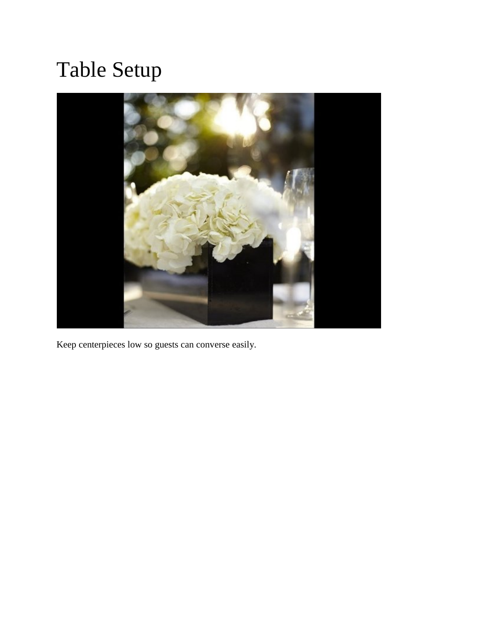# Table Setup



Keep centerpieces low so guests can converse easily.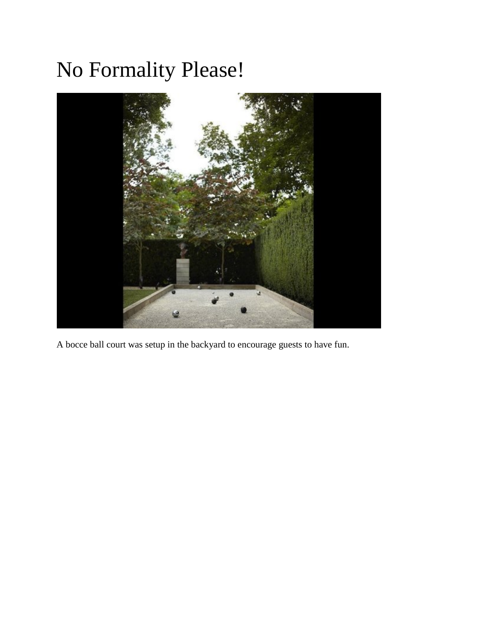## No Formality Please!



A bocce ball court was setup in the backyard to encourage guests to have fun.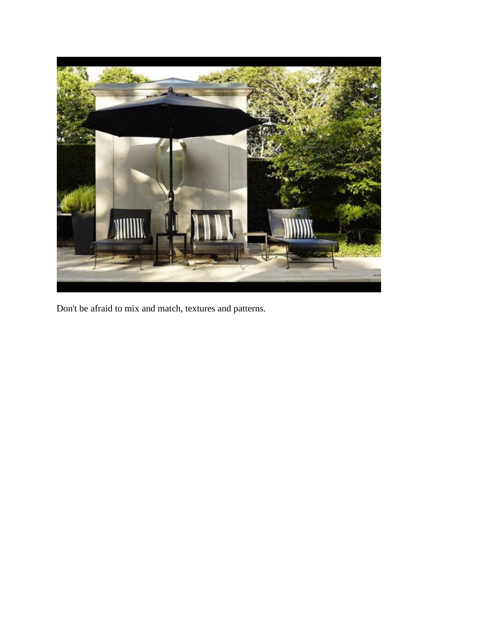

Don't be afraid to mix and match, textures and patterns.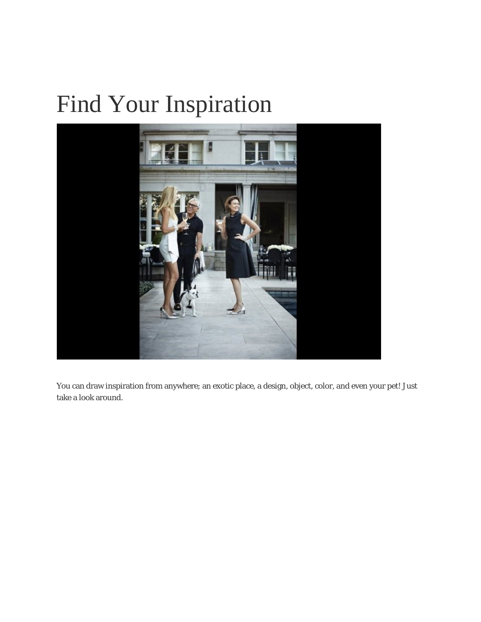# Find Your Inspiration



You can draw inspiration from anywhere; an exotic place, a design, object, color, and even your pet! Just take a look around.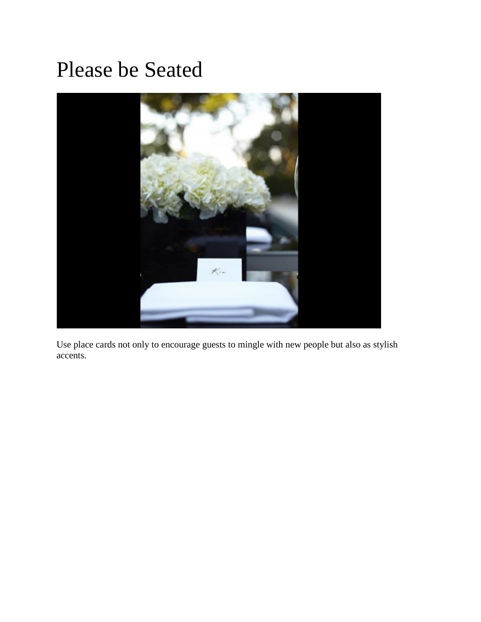#### Please be Seated



Use place cards not only to encourage guests to mingle with new people but also as stylish accents.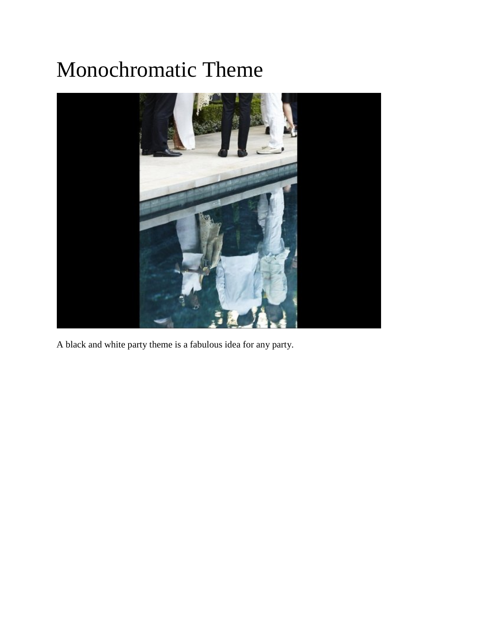# Monochromatic Theme



A black and white party theme is a fabulous idea for any party.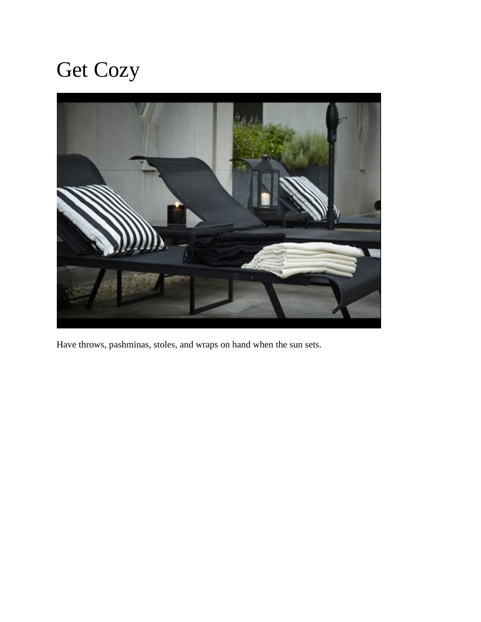# Get Cozy



Have throws, pashminas, stoles, and wraps on hand when the sun sets.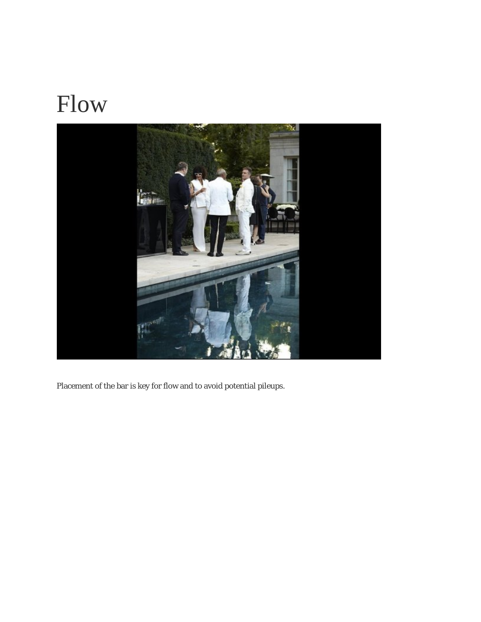# Flow



Placement of the bar is key for flow and to avoid potential pileups.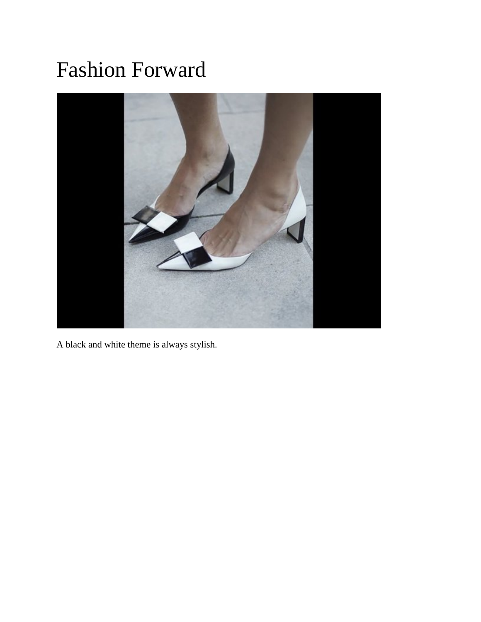#### Fashion Forward



A black and white theme is always stylish.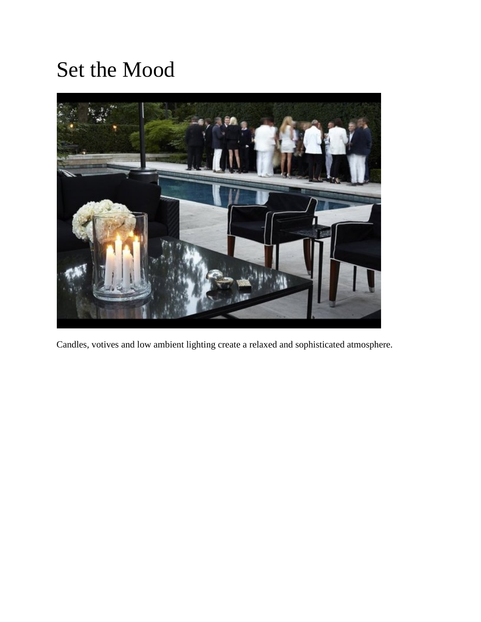#### Set the Mood



Candles, votives and low ambient lighting create a relaxed and sophisticated atmosphere.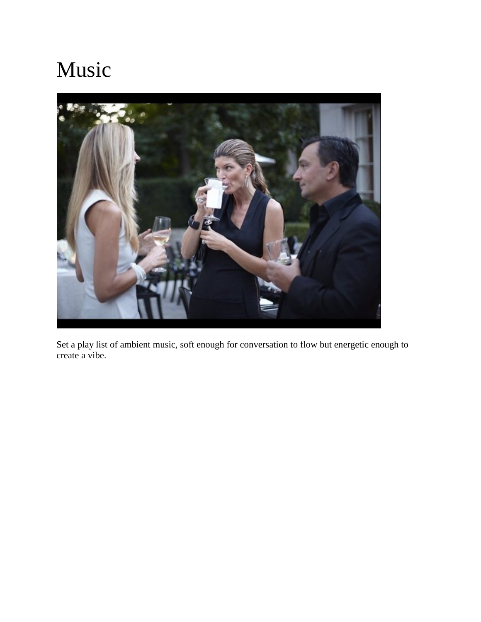## Music



Set a play list of ambient music, soft enough for conversation to flow but energetic enough to create a vibe.